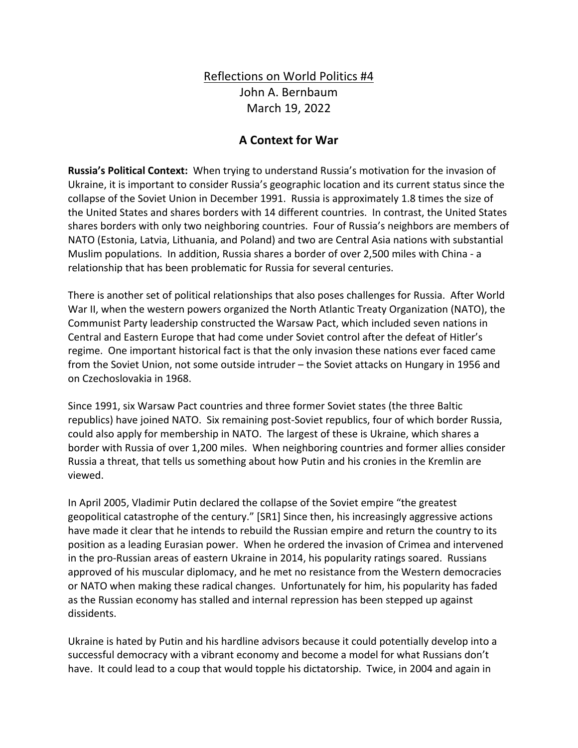## Reflections on World Politics #4 John A. Bernbaum March 19, 2022

## **A Context for War**

**Russia's Political Context:** When trying to understand Russia's motivation for the invasion of Ukraine, it is important to consider Russia's geographic location and its current status since the collapse of the Soviet Union in December 1991. Russia is approximately 1.8 times the size of the United States and shares borders with 14 different countries. In contrast, the United States shares borders with only two neighboring countries. Four of Russia's neighbors are members of NATO (Estonia, Latvia, Lithuania, and Poland) and two are Central Asia nations with substantial Muslim populations. In addition, Russia shares a border of over 2,500 miles with China - a relationship that has been problematic for Russia for several centuries.

There is another set of political relationships that also poses challenges for Russia. After World War II, when the western powers organized the North Atlantic Treaty Organization (NATO), the Communist Party leadership constructed the Warsaw Pact, which included seven nations in Central and Eastern Europe that had come under Soviet control after the defeat of Hitler's regime. One important historical fact is that the only invasion these nations ever faced came from the Soviet Union, not some outside intruder – the Soviet attacks on Hungary in 1956 and on Czechoslovakia in 1968.

Since 1991, six Warsaw Pact countries and three former Soviet states (the three Baltic republics) have joined NATO. Six remaining post-Soviet republics, four of which border Russia, could also apply for membership in NATO. The largest of these is Ukraine, which shares a border with Russia of over 1,200 miles. When neighboring countries and former allies consider Russia a threat, that tells us something about how Putin and his cronies in the Kremlin are viewed.

In April 2005, Vladimir Putin declared the collapse of the Soviet empire "the greatest geopolitical catastrophe of the century." [SR1] Since then, his increasingly aggressive actions have made it clear that he intends to rebuild the Russian empire and return the country to its position as a leading Eurasian power. When he ordered the invasion of Crimea and intervened in the pro-Russian areas of eastern Ukraine in 2014, his popularity ratings soared. Russians approved of his muscular diplomacy, and he met no resistance from the Western democracies or NATO when making these radical changes. Unfortunately for him, his popularity has faded as the Russian economy has stalled and internal repression has been stepped up against dissidents.

Ukraine is hated by Putin and his hardline advisors because it could potentially develop into a successful democracy with a vibrant economy and become a model for what Russians don't have. It could lead to a coup that would topple his dictatorship. Twice, in 2004 and again in